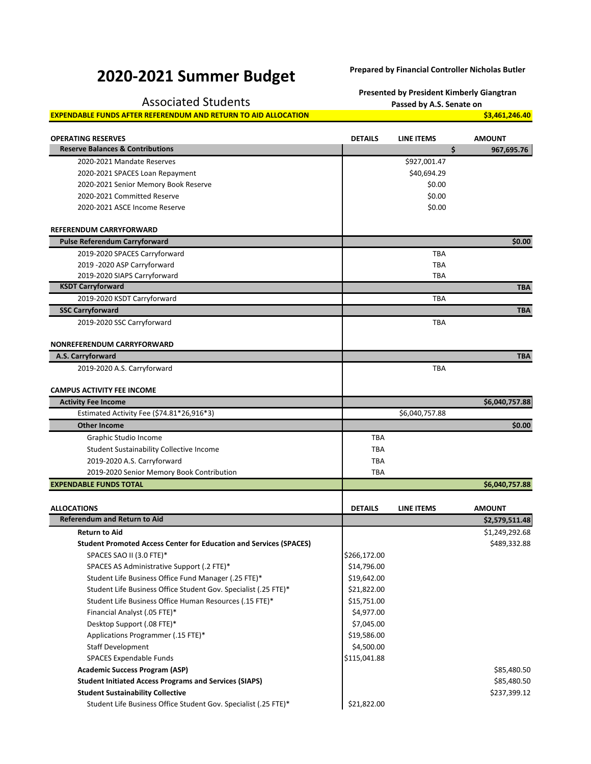## **2020-2021 Summer Budget Prepared by Financial Controller Nicholas Butler**

**Presented by President Kimberly Giangtran**

Associated Students **Passed by A.S. Senate on Passed by A.S. Senate on** 

**EXPENDABLE FUNDS AFTER REFERENDUM AND RETURN TO AID ALLOCATION <b>\$3,461,246.40** \$3,461,246.40

| <b>OPERATING RESERVES</b>                                                 | <b>DETAILS</b> | LINE ITEMS        | <b>AMOUNT</b>  |
|---------------------------------------------------------------------------|----------------|-------------------|----------------|
| <b>Reserve Balances &amp; Contributions</b>                               |                | \$                | 967,695.76     |
| 2020-2021 Mandate Reserves                                                |                | \$927,001.47      |                |
| 2020-2021 SPACES Loan Repayment                                           |                | \$40,694.29       |                |
| 2020-2021 Senior Memory Book Reserve                                      |                | \$0.00            |                |
| 2020-2021 Committed Reserve                                               |                | \$0.00            |                |
| 2020-2021 ASCE Income Reserve                                             |                | \$0.00            |                |
| <b>REFERENDUM CARRYFORWARD</b>                                            |                |                   |                |
| <b>Pulse Referendum Carryforward</b>                                      |                |                   | \$0.00         |
| 2019-2020 SPACES Carryforward                                             |                | <b>TBA</b>        |                |
| 2019 - 2020 ASP Carryforward                                              |                | <b>TBA</b>        |                |
| 2019-2020 SIAPS Carryforward                                              |                | TBA               |                |
| <b>KSDT Carryforward</b>                                                  |                |                   | <b>TBA</b>     |
| 2019-2020 KSDT Carryforward                                               |                | TBA               |                |
| <b>SSC Carryforward</b>                                                   |                |                   | <b>TBA</b>     |
| 2019-2020 SSC Carryforward                                                |                | <b>TBA</b>        |                |
|                                                                           |                |                   |                |
| NONREFERENDUM CARRYFORWARD                                                |                |                   |                |
| A.S. Carryforward                                                         |                |                   | <b>TBA</b>     |
| 2019-2020 A.S. Carryforward                                               |                | <b>TBA</b>        |                |
| <b>CAMPUS ACTIVITY FEE INCOME</b>                                         |                |                   |                |
| <b>Activity Fee Income</b>                                                |                |                   | \$6,040,757.88 |
| Estimated Activity Fee (\$74.81*26,916*3)                                 |                | \$6,040,757.88    |                |
| <b>Other Income</b>                                                       |                |                   | \$0.00         |
| Graphic Studio Income                                                     | TBA            |                   |                |
| Student Sustainability Collective Income                                  | TBA            |                   |                |
| 2019-2020 A.S. Carryforward                                               | <b>TBA</b>     |                   |                |
| 2019-2020 Senior Memory Book Contribution                                 | <b>TBA</b>     |                   |                |
| <b>EXPENDABLE FUNDS TOTAL</b>                                             |                |                   | \$6,040,757.88 |
|                                                                           |                |                   |                |
| <b>ALLOCATIONS</b>                                                        | <b>DETAILS</b> | <b>LINE ITEMS</b> | <b>AMOUNT</b>  |
| <b>Referendum and Return to Aid</b>                                       |                |                   | \$2,579,511.48 |
| <b>Return to Aid</b>                                                      |                |                   | \$1,249,292.68 |
| <b>Student Promoted Access Center for Education and Services (SPACES)</b> |                |                   | \$489,332.88   |
| SPACES SAO II (3.0 FTE)*                                                  | \$266,172.00   |                   |                |
| SPACES AS Administrative Support (.2 FTE)*                                | \$14,796.00    |                   |                |
| Student Life Business Office Fund Manager (.25 FTE)*                      | \$19,642.00    |                   |                |
| Student Life Business Office Student Gov. Specialist (.25 FTE)*           | \$21,822.00    |                   |                |
| Student Life Business Office Human Resources (.15 FTE)*                   | \$15,751.00    |                   |                |
| Financial Analyst (.05 FTE)*                                              | \$4,977.00     |                   |                |
| Desktop Support (.08 FTE)*                                                | \$7,045.00     |                   |                |
| Applications Programmer (.15 FTE)*                                        | \$19,586.00    |                   |                |
| <b>Staff Development</b>                                                  | \$4,500.00     |                   |                |
| <b>SPACES Expendable Funds</b>                                            | \$115,041.88   |                   |                |
| <b>Academic Success Program (ASP)</b>                                     |                |                   | \$85,480.50    |
| <b>Student Initiated Access Programs and Services (SIAPS)</b>             |                |                   | \$85,480.50    |
| <b>Student Sustainability Collective</b>                                  |                |                   | \$237,399.12   |
| Student Life Business Office Student Gov. Specialist (.25 FTE)*           | \$21,822.00    |                   |                |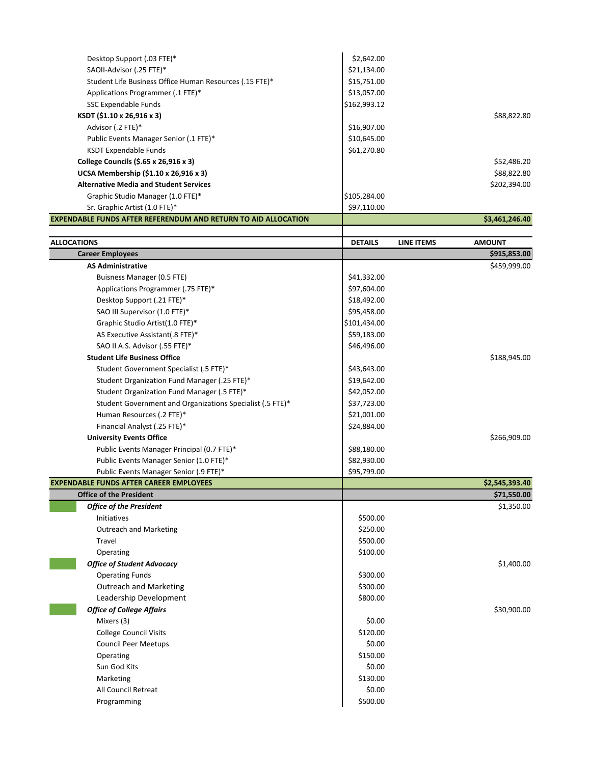| Desktop Support (.03 FTE)*                                            | \$2,642.00     |            |                |
|-----------------------------------------------------------------------|----------------|------------|----------------|
| SAOII-Advisor (.25 FTE)*                                              | \$21,134.00    |            |                |
| Student Life Business Office Human Resources (.15 FTE)*               | \$15,751.00    |            |                |
| Applications Programmer (.1 FTE)*                                     | \$13,057.00    |            |                |
| SSC Expendable Funds                                                  | \$162,993.12   |            |                |
| KSDT (\$1.10 x 26,916 x 3)                                            |                |            | \$88,822.80    |
| Advisor (.2 FTE)*                                                     | \$16,907.00    |            |                |
| Public Events Manager Senior (.1 FTE)*                                | \$10,645.00    |            |                |
| <b>KSDT Expendable Funds</b>                                          | \$61,270.80    |            |                |
| College Councils (\$.65 x 26,916 x 3)                                 |                |            | \$52,486.20    |
| UCSA Membership (\$1.10 x 26,916 x 3)                                 |                |            | \$88,822.80    |
| <b>Alternative Media and Student Services</b>                         |                |            | \$202,394.00   |
| Graphic Studio Manager (1.0 FTE)*                                     | \$105,284.00   |            |                |
| Sr. Graphic Artist (1.0 FTE)*                                         | \$97,110.00    |            |                |
| <b>EXPENDABLE FUNDS AFTER REFERENDUM AND RETURN TO AID ALLOCATION</b> |                |            | \$3,461,246.40 |
|                                                                       |                |            |                |
| <b>ALLOCATIONS</b>                                                    | <b>DETAILS</b> | LINE ITEMS | <b>AMOUNT</b>  |
| <b>Career Employees</b>                                               |                |            | \$915,853.00   |
| <b>AS Administrative</b>                                              |                |            | \$459,999.00   |
| Buisness Manager (0.5 FTE)                                            | \$41,332.00    |            |                |
| Applications Programmer (.75 FTE)*                                    | \$97,604.00    |            |                |
| Desktop Support (.21 FTE)*                                            | \$18,492.00    |            |                |
| SAO III Supervisor (1.0 FTE)*                                         | \$95,458.00    |            |                |
| Graphic Studio Artist(1.0 FTE)*                                       | \$101,434.00   |            |                |
| AS Executive Assistant(.8 FTE)*                                       | \$59,183.00    |            |                |
| SAO II A.S. Advisor (.55 FTE)*                                        | \$46,496.00    |            |                |
| <b>Student Life Business Office</b>                                   |                |            | \$188,945.00   |
| Student Government Specialist (.5 FTE)*                               | \$43,643.00    |            |                |
| Student Organization Fund Manager (.25 FTE)*                          | \$19,642.00    |            |                |
| Student Organization Fund Manager (.5 FTE)*                           | \$42,052.00    |            |                |
| Student Government and Organizations Specialist (.5 FTE)*             | \$37,723.00    |            |                |
| Human Resources (.2 FTE)*                                             | \$21,001.00    |            |                |
| Financial Analyst (.25 FTE)*                                          | \$24,884.00    |            |                |
| <b>University Events Office</b>                                       |                |            | \$266,909.00   |
| Public Events Manager Principal (0.7 FTE)*                            | \$88,180.00    |            |                |
| Public Events Manager Senior (1.0 FTE)*                               | \$82,930.00    |            |                |
| Public Events Manager Senior (.9 FTE)*                                | \$95,799.00    |            |                |
| <b>EXPENDABLE FUNDS AFTER CAREER EMPLOYEES</b>                        |                |            | \$2,545,393.40 |
| <b>Office of the President</b>                                        |                |            | \$71,550.00    |
| <b>Office of the President</b>                                        |                |            | \$1,350.00     |
| Initiatives                                                           | \$500.00       |            |                |
| <b>Outreach and Marketing</b>                                         | \$250.00       |            |                |
| Travel                                                                | \$500.00       |            |                |
| Operating                                                             | \$100.00       |            |                |
| <b>Office of Student Advocacy</b>                                     |                |            | \$1,400.00     |
| <b>Operating Funds</b>                                                | \$300.00       |            |                |
| <b>Outreach and Marketing</b>                                         | \$300.00       |            |                |
| Leadership Development                                                | \$800.00       |            |                |
| <b>Office of College Affairs</b>                                      |                |            | \$30,900.00    |
| Mixers (3)                                                            | \$0.00         |            |                |
| <b>College Council Visits</b>                                         | \$120.00       |            |                |
| <b>Council Peer Meetups</b>                                           | \$0.00         |            |                |
| Operating                                                             | \$150.00       |            |                |
| Sun God Kits                                                          | \$0.00         |            |                |
| Marketing                                                             | \$130.00       |            |                |
| All Council Retreat                                                   | \$0.00         |            |                |
| Programming                                                           | \$500.00       |            |                |
|                                                                       |                |            |                |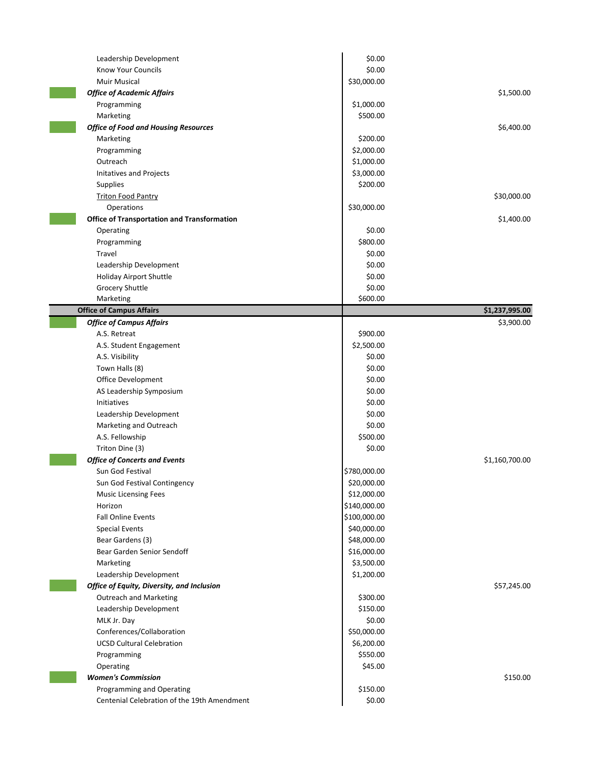| Leadership Development                             | \$0.00       |                |
|----------------------------------------------------|--------------|----------------|
| Know Your Councils                                 | \$0.00       |                |
| Muir Musical                                       | \$30,000.00  |                |
| <b>Office of Academic Affairs</b>                  |              | \$1,500.00     |
| Programming                                        | \$1,000.00   |                |
| Marketing                                          | \$500.00     |                |
| <b>Office of Food and Housing Resources</b>        |              | \$6,400.00     |
| Marketing                                          | \$200.00     |                |
| Programming                                        | \$2,000.00   |                |
| Outreach                                           | \$1,000.00   |                |
| Initatives and Projects                            | \$3,000.00   |                |
| <b>Supplies</b>                                    | \$200.00     |                |
| <b>Triton Food Pantry</b>                          |              | \$30,000.00    |
| Operations                                         | \$30,000.00  |                |
| <b>Office of Transportation and Transformation</b> |              | \$1,400.00     |
| Operating                                          | \$0.00       |                |
| Programming                                        | \$800.00     |                |
| Travel                                             | \$0.00       |                |
| Leadership Development                             | \$0.00       |                |
| <b>Holiday Airport Shuttle</b>                     | \$0.00       |                |
| Grocery Shuttle                                    | \$0.00       |                |
| Marketing                                          | \$600.00     |                |
| <b>Office of Campus Affairs</b>                    |              | \$1,237,995.00 |
| <b>Office of Campus Affairs</b>                    |              | \$3,900.00     |
| A.S. Retreat                                       | \$900.00     |                |
| A.S. Student Engagement                            | \$2,500.00   |                |
| A.S. Visibility                                    | \$0.00       |                |
| Town Halls (8)                                     | \$0.00       |                |
| Office Development                                 | \$0.00       |                |
| AS Leadership Symposium                            | \$0.00       |                |
| Initiatives                                        | \$0.00       |                |
| Leadership Development                             | \$0.00       |                |
| Marketing and Outreach                             | \$0.00       |                |
| A.S. Fellowship                                    | \$500.00     |                |
| Triton Dine (3)                                    | \$0.00       |                |
| <b>Office of Concerts and Events</b>               |              | \$1,160,700.00 |
| Sun God Festival                                   | \$780,000.00 |                |
| Sun God Festival Contingency                       | \$20,000.00  |                |
| <b>Music Licensing Fees</b>                        | \$12,000.00  |                |
| Horizon                                            | \$140,000.00 |                |
| <b>Fall Online Events</b>                          | \$100,000.00 |                |
| <b>Special Events</b>                              | \$40,000.00  |                |
| Bear Gardens (3)                                   | \$48,000.00  |                |
| Bear Garden Senior Sendoff                         | \$16,000.00  |                |
| Marketing                                          | \$3,500.00   |                |
| Leadership Development                             | \$1,200.00   |                |
| Office of Equity, Diversity, and Inclusion         |              | \$57,245.00    |
| <b>Outreach and Marketing</b>                      | \$300.00     |                |
| Leadership Development                             | \$150.00     |                |
| MLK Jr. Day                                        | \$0.00       |                |
| Conferences/Collaboration                          | \$50,000.00  |                |
| <b>UCSD Cultural Celebration</b>                   | \$6,200.00   |                |
| Programming                                        | \$550.00     |                |
| Operating                                          | \$45.00      |                |
| <b>Women's Commission</b>                          |              | \$150.00       |
| Programming and Operating                          | \$150.00     |                |
| Centenial Celebration of the 19th Amendment        | \$0.00       |                |
|                                                    |              |                |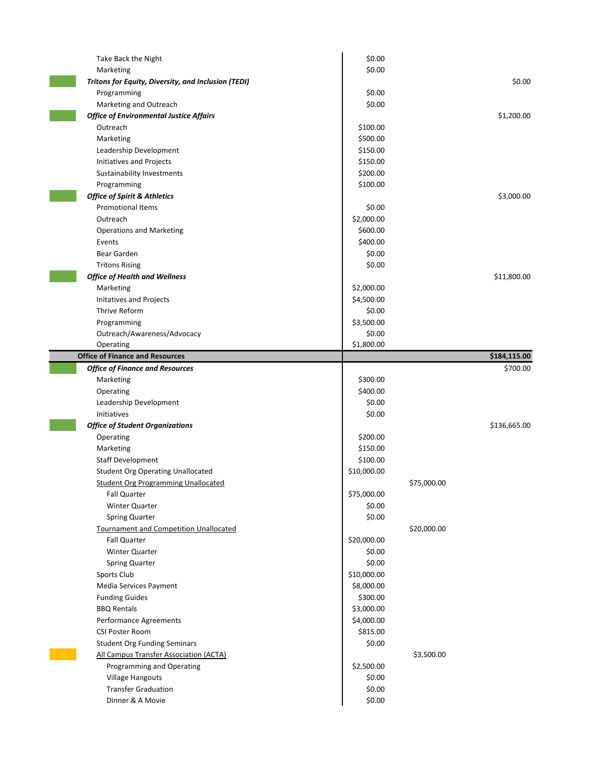| Take Back the Night                                 | \$0.00      |             |              |
|-----------------------------------------------------|-------------|-------------|--------------|
| Marketing                                           | \$0.00      |             |              |
| Tritons for Equity, Diversity, and Inclusion (TEDI) |             |             | \$0.00       |
| Programming                                         | \$0.00      |             |              |
| Marketing and Outreach                              | \$0.00      |             |              |
| <b>Office of Environmental Justice Affairs</b>      |             |             | \$1,200.00   |
| Outreach                                            | \$100.00    |             |              |
| Marketing                                           | \$500.00    |             |              |
| Leadership Development                              | \$150.00    |             |              |
| Initiatives and Projects                            | \$150.00    |             |              |
| Sustainability Investments                          | \$200.00    |             |              |
| Programming                                         | \$100.00    |             |              |
| <b>Office of Spirit &amp; Athletics</b>             |             |             | \$3,000.00   |
| <b>Promotional Items</b>                            | \$0.00      |             |              |
| Outreach                                            | \$2,000.00  |             |              |
| <b>Operations and Marketing</b>                     | \$600.00    |             |              |
| Events                                              | \$400.00    |             |              |
| Bear Garden                                         | \$0.00      |             |              |
| <b>Tritons Rising</b>                               | \$0.00      |             |              |
| <b>Office of Health and Wellness</b>                |             |             | \$11,800.00  |
| Marketing                                           | \$2,000.00  |             |              |
| Initatives and Projects                             | \$4,500.00  |             |              |
| Thrive Reform                                       | \$0.00      |             |              |
| Programming                                         | \$3,500.00  |             |              |
| Outreach/Awareness/Advocacy                         | \$0.00      |             |              |
| Operating                                           | \$1,800.00  |             |              |
| <b>Office of Finance and Resources</b>              |             |             | \$184,115.00 |
| <b>Office of Finance and Resources</b>              |             |             | \$700.00     |
| Marketing                                           | \$300.00    |             |              |
| Operating                                           | \$400.00    |             |              |
| Leadership Development                              | \$0.00      |             |              |
| Initiatives                                         | \$0.00      |             |              |
| <b>Office of Student Organizations</b>              |             |             | \$136,665.00 |
| Operating                                           | \$200.00    |             |              |
| Marketing                                           | \$150.00    |             |              |
| <b>Staff Development</b>                            | \$100.00    |             |              |
| <b>Student Org Operating Unallocated</b>            | \$10,000.00 |             |              |
| Student Org Programming Unallocated                 |             | \$75,000.00 |              |
| <b>Fall Quarter</b>                                 | \$75,000.00 |             |              |
| <b>Winter Quarter</b>                               | \$0.00      |             |              |
| <b>Spring Quarter</b>                               | \$0.00      |             |              |
| Tournament and Competition Unallocated              |             | \$20,000.00 |              |
| Fall Quarter                                        | \$20,000.00 |             |              |
| Winter Quarter                                      | \$0.00      |             |              |
| Spring Quarter                                      | \$0.00      |             |              |
| Sports Club                                         | \$10,000.00 |             |              |
| Media Services Payment                              | \$8,000.00  |             |              |
| <b>Funding Guides</b>                               | \$300.00    |             |              |
| <b>BBQ Rentals</b>                                  | \$3,000.00  |             |              |
| Performance Agreements                              | \$4,000.00  |             |              |
| CSI Poster Room                                     | \$815.00    |             |              |
| <b>Student Org Funding Seminars</b>                 | \$0.00      |             |              |
| All Campus Transfer Association (ACTA)              |             | \$3,500.00  |              |
| Programming and Operating                           |             |             |              |
|                                                     | \$2,500.00  |             |              |
| <b>Village Hangouts</b>                             | \$0.00      |             |              |
| <b>Transfer Graduation</b>                          | \$0.00      |             |              |
| Dinner & A Movie                                    | \$0.00      |             |              |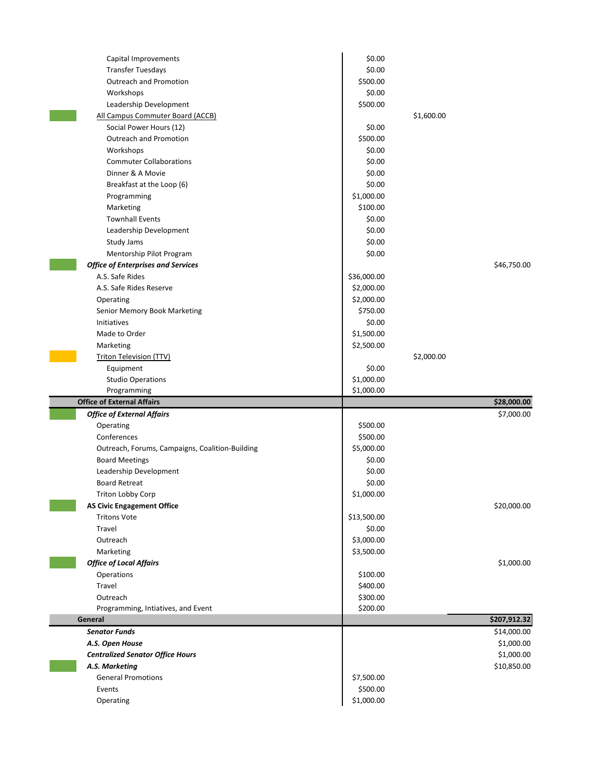| Capital Improvements                            | \$0.00                 |              |  |
|-------------------------------------------------|------------------------|--------------|--|
| <b>Transfer Tuesdays</b>                        | \$0.00                 |              |  |
| Outreach and Promotion                          | \$500.00               |              |  |
| Workshops                                       | \$0.00                 |              |  |
| Leadership Development                          | \$500.00               |              |  |
| All Campus Commuter Board (ACCB)                |                        | \$1,600.00   |  |
| Social Power Hours (12)                         | \$0.00                 |              |  |
| Outreach and Promotion                          | \$500.00               |              |  |
| Workshops                                       | \$0.00                 |              |  |
| <b>Commuter Collaborations</b>                  | \$0.00                 |              |  |
| Dinner & A Movie                                | \$0.00                 |              |  |
| Breakfast at the Loop (6)                       | \$0.00                 |              |  |
| Programming                                     | \$1,000.00             |              |  |
| Marketing                                       | \$100.00               |              |  |
| <b>Townhall Events</b>                          | \$0.00                 |              |  |
| Leadership Development                          | \$0.00                 |              |  |
| Study Jams                                      | \$0.00                 |              |  |
| Mentorship Pilot Program                        | \$0.00                 |              |  |
| <b>Office of Enterprises and Services</b>       |                        | \$46,750.00  |  |
| A.S. Safe Rides                                 | \$36,000.00            |              |  |
| A.S. Safe Rides Reserve                         | \$2,000.00             |              |  |
| Operating                                       | \$2,000.00             |              |  |
| Senior Memory Book Marketing                    | \$750.00               |              |  |
| Initiatives                                     | \$0.00                 |              |  |
| Made to Order                                   | \$1,500.00             |              |  |
| Marketing                                       | \$2,500.00             |              |  |
| <b>Triton Television (TTV)</b>                  |                        | \$2,000.00   |  |
| Equipment                                       | \$0.00                 |              |  |
|                                                 |                        |              |  |
| <b>Studio Operations</b>                        | \$1,000.00             |              |  |
| Programming                                     | \$1,000.00             |              |  |
| <b>Office of External Affairs</b>               |                        | \$28,000.00  |  |
| <b>Office of External Affairs</b>               |                        | \$7,000.00   |  |
| Operating                                       | \$500.00               |              |  |
| Conferences                                     | \$500.00               |              |  |
| Outreach, Forums, Campaigns, Coalition-Building | \$5,000.00             |              |  |
| <b>Board Meetings</b>                           | \$0.00                 |              |  |
| Leadership Development                          | \$0.00                 |              |  |
| Board Retreat                                   | \$0.00                 |              |  |
| Triton Lobby Corp                               | \$1,000.00             |              |  |
| <b>AS Civic Engagement Office</b>               |                        | \$20,000.00  |  |
| <b>Tritons Vote</b>                             | \$13,500.00            |              |  |
| Travel                                          | \$0.00                 |              |  |
| Outreach                                        | \$3,000.00             |              |  |
| Marketing                                       | \$3,500.00             |              |  |
| <b>Office of Local Affairs</b>                  |                        | \$1,000.00   |  |
| Operations                                      | \$100.00               |              |  |
| Travel                                          | \$400.00               |              |  |
| Outreach                                        | \$300.00               |              |  |
| Programming, Intiatives, and Event              | \$200.00               |              |  |
| General                                         |                        | \$207,912.32 |  |
| <b>Senator Funds</b>                            |                        | \$14,000.00  |  |
| A.S. Open House                                 |                        | \$1,000.00   |  |
| <b>Centralized Senator Office Hours</b>         |                        | \$1,000.00   |  |
| A.S. Marketing                                  |                        | \$10,850.00  |  |
| <b>General Promotions</b>                       | \$7,500.00             |              |  |
| Events<br>Operating                             | \$500.00<br>\$1,000.00 |              |  |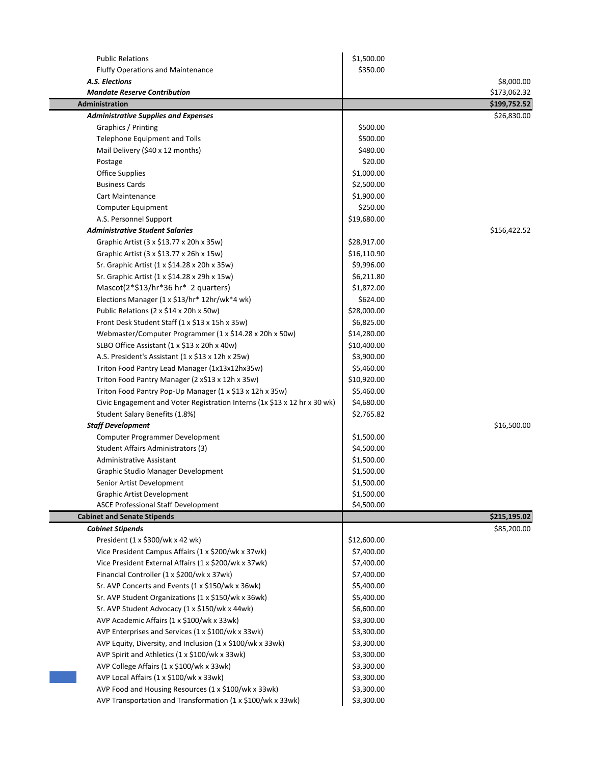| <b>Public Relations</b>                                                   | \$1,500.00  |              |
|---------------------------------------------------------------------------|-------------|--------------|
| <b>Fluffy Operations and Maintenance</b>                                  | \$350.00    |              |
| A.S. Elections                                                            |             | \$8,000.00   |
| <b>Mandate Reserve Contribution</b>                                       |             | \$173,062.32 |
| <b>Administration</b>                                                     |             | \$199,752.52 |
| <b>Administrative Supplies and Expenses</b>                               |             | \$26,830.00  |
| Graphics / Printing                                                       | \$500.00    |              |
| Telephone Equipment and Tolls                                             | \$500.00    |              |
| Mail Delivery (\$40 x 12 months)                                          | \$480.00    |              |
| Postage                                                                   | \$20.00     |              |
| Office Supplies                                                           | \$1,000.00  |              |
| <b>Business Cards</b>                                                     | \$2,500.00  |              |
| <b>Cart Maintenance</b>                                                   | \$1,900.00  |              |
| Computer Equipment                                                        | \$250.00    |              |
| A.S. Personnel Support                                                    | \$19,680.00 |              |
| <b>Administrative Student Salaries</b>                                    |             | \$156,422.52 |
| Graphic Artist (3 x \$13.77 x 20h x 35w)                                  | \$28,917.00 |              |
| Graphic Artist (3 x \$13.77 x 26h x 15w)                                  | \$16,110.90 |              |
| Sr. Graphic Artist (1 x \$14.28 x 20h x 35w)                              | \$9,996.00  |              |
| Sr. Graphic Artist (1 x \$14.28 x 29h x 15w)                              | \$6,211.80  |              |
| Mascot(2*\$13/hr*36 hr* 2 quarters)                                       | \$1,872.00  |              |
| Elections Manager (1 x \$13/hr* 12hr/wk*4 wk)                             | \$624.00    |              |
| Public Relations (2 x \$14 x 20h x 50w)                                   | \$28,000.00 |              |
| Front Desk Student Staff (1 x \$13 x 15h x 35w)                           | \$6,825.00  |              |
| Webmaster/Computer Programmer (1 x \$14.28 x 20h x 50w)                   | \$14,280.00 |              |
| SLBO Office Assistant (1 x \$13 x 20h x 40w)                              | \$10,400.00 |              |
| A.S. President's Assistant (1 x \$13 x 12h x 25w)                         | \$3,900.00  |              |
| Triton Food Pantry Lead Manager (1x13x12hx35w)                            | \$5,460.00  |              |
| Triton Food Pantry Manager (2 x\$13 x 12h x 35w)                          | \$10,920.00 |              |
| Triton Food Pantry Pop-Up Manager (1 x \$13 x 12h x 35w)                  | \$5,460.00  |              |
| Civic Engagement and Voter Registration Interns (1x \$13 x 12 hr x 30 wk) | \$4,680.00  |              |
| Student Salary Benefits (1.8%)                                            | \$2,765.82  |              |
| <b>Staff Development</b>                                                  |             | \$16,500.00  |
| Computer Programmer Development                                           | \$1,500.00  |              |
| Student Affairs Administrators (3)                                        | \$4,500.00  |              |
| <b>Administrative Assistant</b>                                           | \$1,500.00  |              |
| Graphic Studio Manager Development                                        | \$1,500.00  |              |
| Senior Artist Development                                                 | \$1,500.00  |              |
| <b>Graphic Artist Development</b>                                         | \$1,500.00  |              |
| <b>ASCE Professional Staff Development</b>                                | \$4,500.00  |              |
| <b>Cabinet and Senate Stipends</b>                                        |             | \$215,195.02 |
| <b>Cabinet Stipends</b>                                                   |             | \$85,200.00  |
| President (1 x \$300/wk x 42 wk)                                          | \$12,600.00 |              |
| Vice President Campus Affairs (1 x \$200/wk x 37wk)                       | \$7,400.00  |              |
| Vice President External Affairs (1 x \$200/wk x 37wk)                     | \$7,400.00  |              |
| Financial Controller (1 x \$200/wk x 37wk)                                | \$7,400.00  |              |
| Sr. AVP Concerts and Events (1 x \$150/wk x 36wk)                         | \$5,400.00  |              |
| Sr. AVP Student Organizations (1 x \$150/wk x 36wk)                       | \$5,400.00  |              |
| Sr. AVP Student Advocacy (1 x \$150/wk x 44wk)                            | \$6,600.00  |              |
| AVP Academic Affairs (1 x \$100/wk x 33wk)                                | \$3,300.00  |              |
| AVP Enterprises and Services (1 x \$100/wk x 33wk)                        | \$3,300.00  |              |
| AVP Equity, Diversity, and Inclusion (1 x \$100/wk x 33wk)                | \$3,300.00  |              |
| AVP Spirit and Athletics (1 x \$100/wk x 33wk)                            | \$3,300.00  |              |
| AVP College Affairs (1 x \$100/wk x 33wk)                                 | \$3,300.00  |              |
| AVP Local Affairs (1 x \$100/wk x 33wk)                                   | \$3,300.00  |              |
| AVP Food and Housing Resources (1 x \$100/wk x 33wk)                      | \$3,300.00  |              |
| AVP Transportation and Transformation (1 x \$100/wk x 33wk)               | \$3,300.00  |              |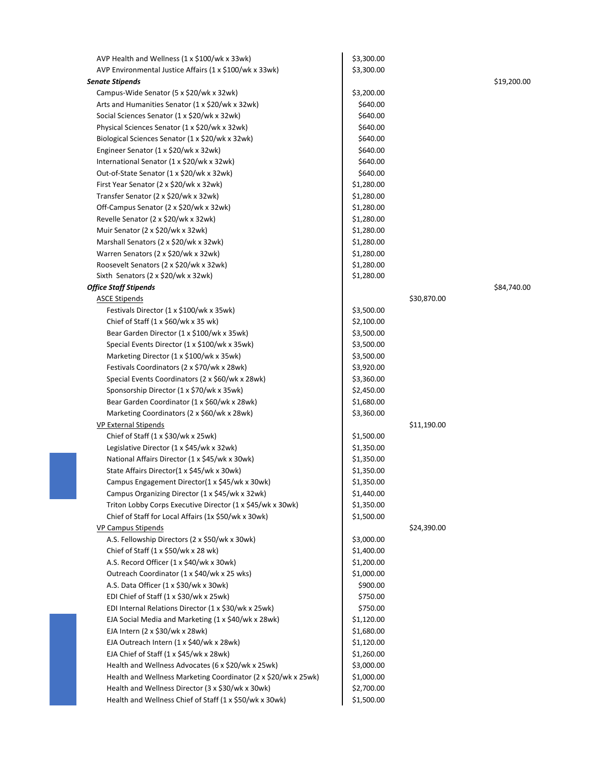| AVP Health and Wellness (1 x \$100/wk x 33wk)                  | \$3,300.00 |             |             |
|----------------------------------------------------------------|------------|-------------|-------------|
| AVP Environmental Justice Affairs (1 x \$100/wk x 33wk)        | \$3,300.00 |             |             |
| <b>Senate Stipends</b>                                         |            |             | \$19,200.00 |
| Campus-Wide Senator (5 x \$20/wk x 32wk)                       | \$3,200.00 |             |             |
| Arts and Humanities Senator (1 x \$20/wk x 32wk)               | \$640.00   |             |             |
| Social Sciences Senator (1 x \$20/wk x 32wk)                   | \$640.00   |             |             |
| Physical Sciences Senator (1 x \$20/wk x 32wk)                 | \$640.00   |             |             |
| Biological Sciences Senator (1 x \$20/wk x 32wk)               | \$640.00   |             |             |
| Engineer Senator (1 x \$20/wk x 32wk)                          | \$640.00   |             |             |
| International Senator (1 x \$20/wk x 32wk)                     | \$640.00   |             |             |
| Out-of-State Senator (1 x \$20/wk x 32wk)                      | \$640.00   |             |             |
| First Year Senator (2 x \$20/wk x 32wk)                        | \$1,280.00 |             |             |
| Transfer Senator (2 x \$20/wk x 32wk)                          | \$1,280.00 |             |             |
| Off-Campus Senator (2 x \$20/wk x 32wk)                        | \$1,280.00 |             |             |
| Revelle Senator (2 x \$20/wk x 32wk)                           | \$1,280.00 |             |             |
| Muir Senator (2 x \$20/wk x 32wk)                              | \$1,280.00 |             |             |
| Marshall Senators (2 x \$20/wk x 32wk)                         | \$1,280.00 |             |             |
| Warren Senators (2 x \$20/wk x 32wk)                           | \$1,280.00 |             |             |
| Roosevelt Senators (2 x \$20/wk x 32wk)                        | \$1,280.00 |             |             |
| Sixth Senators (2 x \$20/wk x 32wk)                            | \$1,280.00 |             |             |
| <b>Office Staff Stipends</b>                                   |            |             | \$84,740.00 |
| <b>ASCE Stipends</b>                                           |            | \$30,870.00 |             |
| Festivals Director (1 x \$100/wk x 35wk)                       | \$3,500.00 |             |             |
| Chief of Staff $(1 \times $60/wk \times 35 wk)$                | \$2,100.00 |             |             |
| Bear Garden Director (1 x \$100/wk x 35wk)                     | \$3,500.00 |             |             |
| Special Events Director (1 x \$100/wk x 35wk)                  | \$3,500.00 |             |             |
| Marketing Director (1 x \$100/wk x 35wk)                       | \$3,500.00 |             |             |
| Festivals Coordinators (2 x \$70/wk x 28wk)                    | \$3,920.00 |             |             |
| Special Events Coordinators (2 x \$60/wk x 28wk)               | \$3,360.00 |             |             |
| Sponsorship Director (1 x \$70/wk x 35wk)                      | \$2,450.00 |             |             |
| Bear Garden Coordinator (1 x \$60/wk x 28wk)                   | \$1,680.00 |             |             |
| Marketing Coordinators (2 x \$60/wk x 28wk)                    | \$3,360.00 |             |             |
| <b>VP External Stipends</b>                                    |            | \$11,190.00 |             |
| Chief of Staff $(1 \times $30/wk \times 25wk)$                 | \$1,500.00 |             |             |
| Legislative Director (1 x \$45/wk x 32wk)                      | \$1,350.00 |             |             |
| National Affairs Director (1 x \$45/wk x 30wk)                 | \$1,350.00 |             |             |
| State Affairs Director(1 x \$45/wk x 30wk)                     | \$1,350.00 |             |             |
| Campus Engagement Director(1 x \$45/wk x 30wk)                 | \$1,350.00 |             |             |
| Campus Organizing Director (1 x \$45/wk x 32wk)                | \$1,440.00 |             |             |
| Triton Lobby Corps Executive Director (1 x \$45/wk x 30wk)     | \$1,350.00 |             |             |
| Chief of Staff for Local Affairs (1x \$50/wk x 30wk)           | \$1,500.00 |             |             |
| <b>VP Campus Stipends</b>                                      |            | \$24,390.00 |             |
| A.S. Fellowship Directors (2 x \$50/wk x 30wk)                 | \$3,000.00 |             |             |
| Chief of Staff $(1 \times $50$ /wk $\times 28$ wk)             | \$1,400.00 |             |             |
| A.S. Record Officer (1 x \$40/wk x 30wk)                       | \$1,200.00 |             |             |
| Outreach Coordinator (1 x \$40/wk x 25 wks)                    | \$1,000.00 |             |             |
| A.S. Data Officer (1 x \$30/wk x 30wk)                         | \$900.00   |             |             |
| EDI Chief of Staff (1 x \$30/wk x 25wk)                        | \$750.00   |             |             |
| EDI Internal Relations Director (1 x \$30/wk x 25wk)           | \$750.00   |             |             |
| EJA Social Media and Marketing (1 x \$40/wk x 28wk)            | \$1,120.00 |             |             |
| EJA Intern (2 x \$30/wk x 28wk)                                | \$1,680.00 |             |             |
| EJA Outreach Intern (1 x \$40/wk x 28wk)                       | \$1,120.00 |             |             |
| EJA Chief of Staff (1 x \$45/wk x 28wk)                        | \$1,260.00 |             |             |
| Health and Wellness Advocates (6 x \$20/wk x 25wk)             | \$3,000.00 |             |             |
| Health and Wellness Marketing Coordinator (2 x \$20/wk x 25wk) | \$1,000.00 |             |             |
| Health and Wellness Director (3 x \$30/wk x 30wk)              | \$2,700.00 |             |             |
| Health and Wellness Chief of Staff (1 x \$50/wk x 30wk)        | \$1,500.00 |             |             |

I